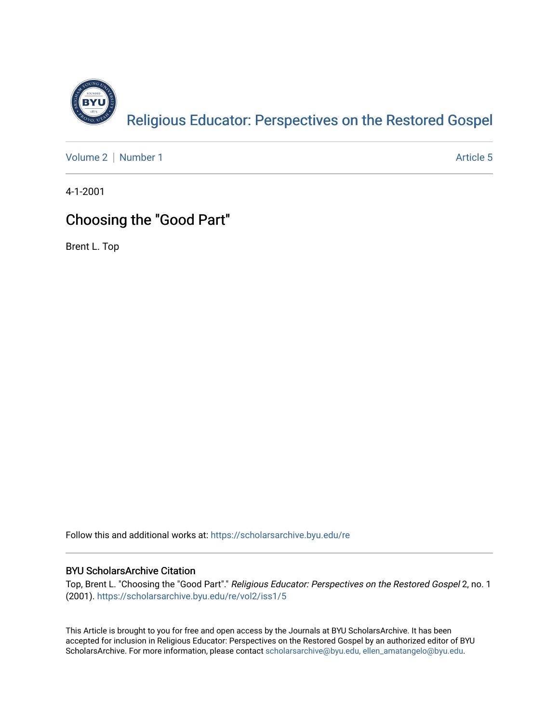

[Volume 2](https://scholarsarchive.byu.edu/re/vol2) | [Number 1](https://scholarsarchive.byu.edu/re/vol2/iss1) Article 5

4-1-2001

# Choosing the "Good Part"

Brent L. Top

Follow this and additional works at: [https://scholarsarchive.byu.edu/re](https://scholarsarchive.byu.edu/re?utm_source=scholarsarchive.byu.edu%2Fre%2Fvol2%2Fiss1%2F5&utm_medium=PDF&utm_campaign=PDFCoverPages)

## BYU ScholarsArchive Citation

Top, Brent L. "Choosing the "Good Part"." Religious Educator: Perspectives on the Restored Gospel 2, no. 1 (2001). [https://scholarsarchive.byu.edu/re/vol2/iss1/5](https://scholarsarchive.byu.edu/re/vol2/iss1/5?utm_source=scholarsarchive.byu.edu%2Fre%2Fvol2%2Fiss1%2F5&utm_medium=PDF&utm_campaign=PDFCoverPages) 

This Article is brought to you for free and open access by the Journals at BYU ScholarsArchive. It has been accepted for inclusion in Religious Educator: Perspectives on the Restored Gospel by an authorized editor of BYU ScholarsArchive. For more information, please contact [scholarsarchive@byu.edu, ellen\\_amatangelo@byu.edu.](mailto:scholarsarchive@byu.edu,%20ellen_amatangelo@byu.edu)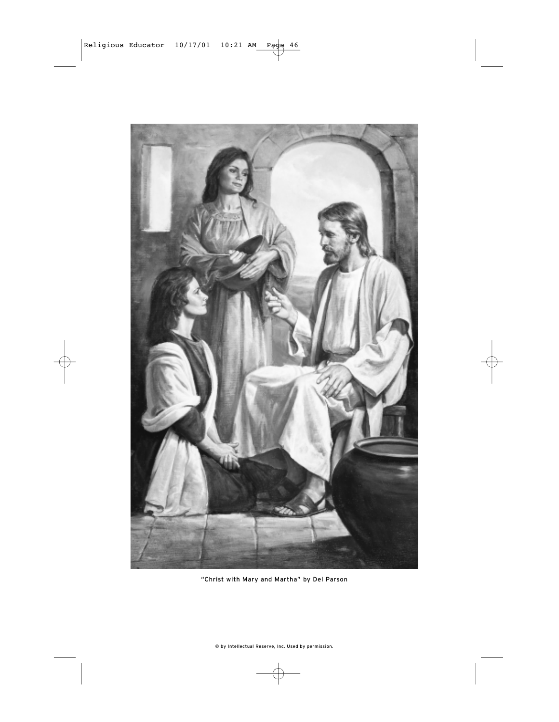

"Christ with Mary and Martha" by Del Parson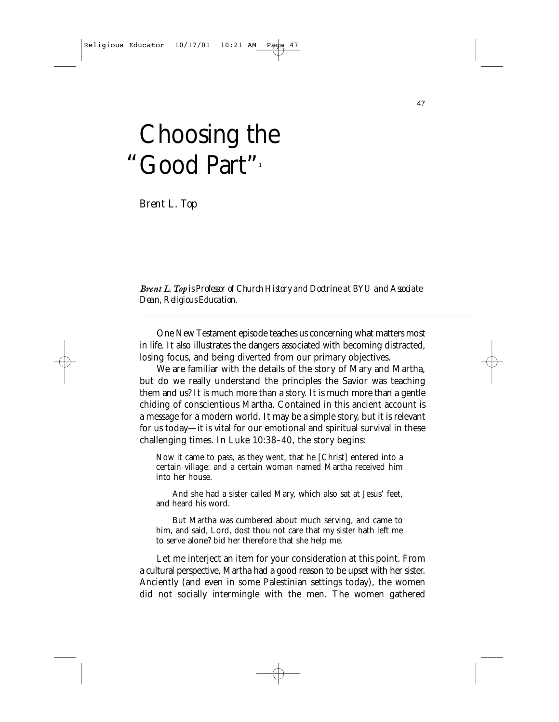# Choosing the "Good Part"

*Brent L. Top*

*Brent L. Top is Professor of Church History and Doctrine at BYU and Associate Dean, Religious Education.*

One New Testament episode teaches us concerning what matters most in life. It also illustrates the dangers associated with becoming distracted, losing focus, and being diverted from our primary objectives.

We are familiar with the details of the story of Mary and Martha, but do we really understand the principles the Savior was teaching them and us? It is much more than a story. It is much more than a gentle chiding of conscientious Martha. Contained in this ancient account is a message for a modern world. It may be a simple story, but it is relevant for us today—it is vital for our emotional and spiritual survival in these challenging times. In Luke 10:38–40, the story begins:

Now it came to pass, as they went, that he [Christ] entered into a certain village: and a certain woman named Martha received him into her house.

And she had a sister called Mary, which also sat at Jesus' feet, and heard his word.

But Martha was cumbered about much serving, and came to him, and said, Lord, dost thou not care that my sister hath left me to serve alone? bid her therefore that she help me.

Let me interject an item for your consideration at this point. From a cultural perspective, Martha had a good reason to be upset with her sister. Anciently (and even in some Palestinian settings today), the women did not socially intermingle with the men. The women gathered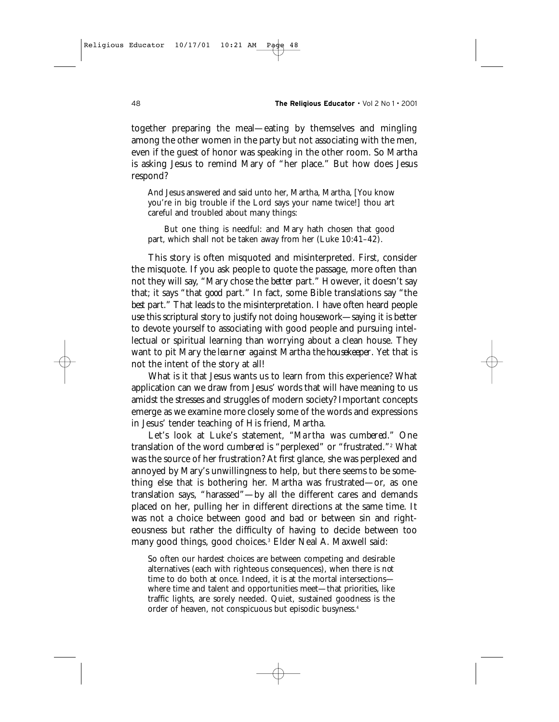together preparing the meal—eating by themselves and mingling among the other women in the party but not associating with the men, even if the guest of honor was speaking in the other room. So Martha is asking Jesus to remind Mary of "her place." But how does Jesus respond?

And Jesus answered and said unto her, Martha, Martha, [You know you're in big trouble if the Lord says your name twice!] thou art careful and troubled about many things:

But one thing is needful: and Mary hath chosen that good part, which shall not be taken away from her (Luke 10:41–42).

This story is often misquoted and misinterpreted. First, consider the misquote. If you ask people to quote the passage, more often than not they will say, "Mary chose the *better* part." However, it doesn't say that; it says "that *good* part." In fact, some Bible translations say "the *best* part." That leads to the misinterpretation. I have often heard people use this scriptural story to justify not doing housework—saying it is better to devote yourself to associating with good people and pursuing intellectual or spiritual learning than worrying about a clean house. They want to pit Mary *the learner* against Martha *the housekeeper*. Yet that is not the intent of the story at all!

What is it that Jesus wants us to learn from this experience? What application can we draw from Jesus' words that will have meaning to us amidst the stresses and struggles of modern society? Important concepts emerge as we examine more closely some of the words and expressions in Jesus' tender teaching of His friend, Martha.

Let's look at Luke's statement, *"Martha was cumbered."* One translation of the word *cumbered* is "perplexed" or "frustrated."<sup>2</sup> What was the source of her frustration? At first glance, she was perplexed and annoyed by Mary's unwillingness to help, but there seems to be something else that is bothering her. Martha was frustrated—or, as one translation says, "harassed"—by all the different cares and demands placed on her, pulling her in different directions at the same time. It was not a choice between good and bad or between sin and righteousness but rather the difficulty of having to decide between too many good things, good choices.<sup>3</sup> Elder Neal A. Maxwell said:

So often our hardest choices are between competing and desirable alternatives (each with righteous consequences), when there is *not* time to do both at once. Indeed, it is at the mortal intersections where time and talent and opportunities meet—that priorities, like traffic lights, are sorely needed. Quiet, sustained goodness is the order of heaven, not conspicuous but episodic busyness.4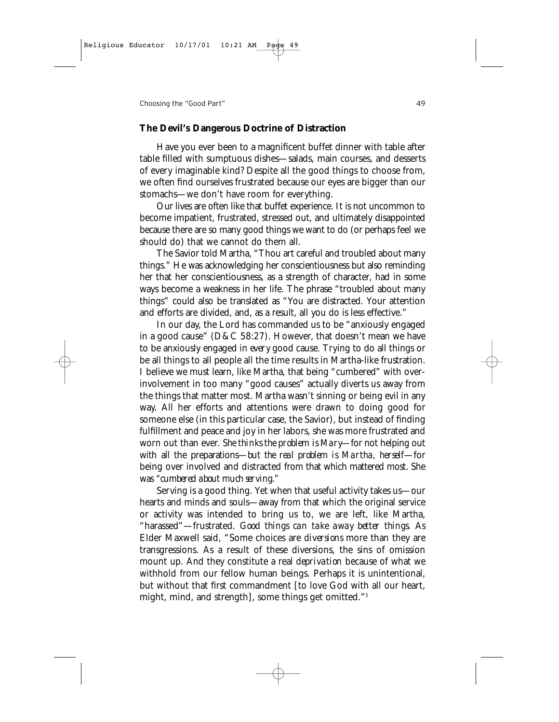#### **The Devil's Dangerous Doctrine of Distraction**

Have you ever been to a magnificent buffet dinner with table after table filled with sumptuous dishes—salads, main courses, and desserts of every imaginable kind? Despite all the good things to choose from, we often find ourselves frustrated because our eyes are bigger than our stomachs—we don't have room for everything.

Our lives are often like that buffet experience. It is not uncommon to become impatient, frustrated, stressed out, and ultimately disappointed because there are so many good things we want to do (or perhaps feel we should do) that we cannot do them all.

The Savior told Martha, "Thou art careful and troubled about many things." He was acknowledging her conscientiousness but also reminding her that her conscientiousness, as a strength of character, had in some ways become a weakness in her life. The phrase "troubled about many things" could also be translated as "You are distracted. Your attention and efforts are divided, and, as a result, all you do is less effective."

In our day, the Lord has commanded us to be "anxiously engaged in a good cause" (D&C 58:27). However, that doesn't mean we have to be anxiously engaged in *every* good cause. Trying to do all things or be all things to all people all the time results in Martha-like frustration. I believe we must learn, like Martha, that being "cumbered" with overinvolvement in too many "good causes" actually diverts us away from the things that matter most. Martha wasn't sinning or being evil in any way. All her efforts and attentions were drawn to doing good for someone else (in this particular case, the Savior), but instead of finding fulfillment and peace and joy in her labors, she was more frustrated and worn out than ever. *She thinks the problem is Mary*—for not helping out with all the preparations—*but the real problem is Martha, herself*—for being over involved and distracted from that which mattered most. She was *"cumbered about much serving."*

Serving is a good thing. Yet when that useful activity takes us—our hearts and minds and souls—away from that which the original service or activity was intended to bring us to, we are left, like Martha, "harassed"—frustrated. *Good things can take away better things.* As Elder Maxwell said, "Some choices are *diversions* more than they are transgressions. As a result of these diversions, the sins of omission mount up. And they constitute a real *deprivation* because of what we withhold from our fellow human beings. Perhaps it is unintentional, but without that first commandment [to love God with all our heart, might, mind, and strength], some things get omitted."5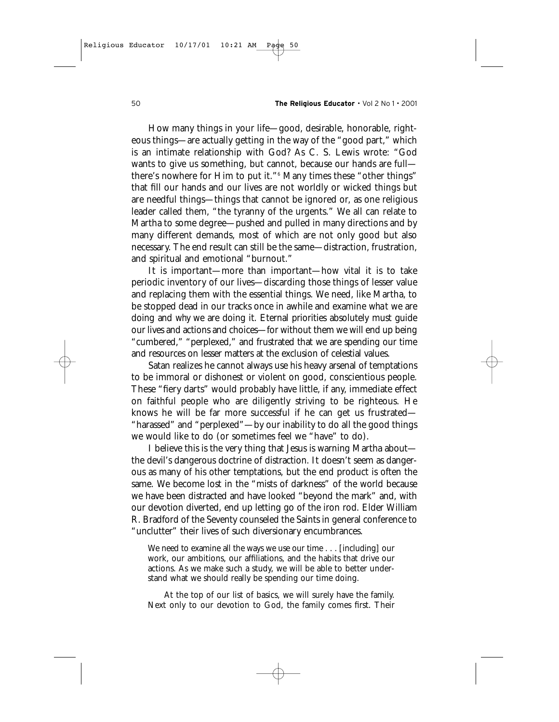How many things in your life—good, desirable, honorable, righteous things—are actually getting in the way of the "good part," which is an intimate relationship with God? As C. S. Lewis wrote: "God wants to give us something, but cannot, because our hands are full there's nowhere for Him to put it."6 Many times these "other things" that fill our hands and our lives are not worldly or wicked things but are needful things—things that cannot be ignored or, as one religious leader called them, "the tyranny of the urgents." We all can relate to Martha to some degree—pushed and pulled in many directions and by many different demands, most of which are not only good but also necessary. The end result can still be the same—distraction, frustration, and spiritual and emotional "burnout."

It is important—more than important—how vital it is to take periodic inventory of our lives—discarding those things of lesser value and replacing them with the essential things. We need, like Martha, to be stopped dead in our tracks once in awhile and examine *what* we are doing and *why* we are doing it. Eternal priorities absolutely must guide our lives and actions and choices—for without them we will end up being "cumbered," "perplexed," and frustrated that we are spending our time and resources on lesser matters at the exclusion of celestial values.

Satan realizes he cannot always use his heavy arsenal of temptations to be immoral or dishonest or violent on good, conscientious people. These "fiery darts" would probably have little, if any, immediate effect on faithful people who are diligently striving to be righteous. He knows he will be far more successful if he can get us frustrated— "harassed" and "perplexed"—by our inability to do all the good things we would like to do (or sometimes feel we "have" to do).

I believe this is the very thing that Jesus is warning Martha about the devil's dangerous doctrine of distraction. It doesn't seem as dangerous as many of his other temptations, but the end product is often the same. We become lost in the "mists of darkness" of the world because we have been distracted and have looked "beyond the mark" and, with our devotion diverted, end up letting go of the iron rod. Elder William R. Bradford of the Seventy counseled the Saints in general conference to "unclutter" their lives of such diversionary encumbrances.

We need to examine all the ways we use our time . . . [including] our work, our ambitions, our affiliations, and the habits that drive our actions. As we make such a study, we will be able to better understand what we should really be spending our time doing.

At the top of our list of basics, we will surely have the family. Next only to our devotion to God, the family comes first. Their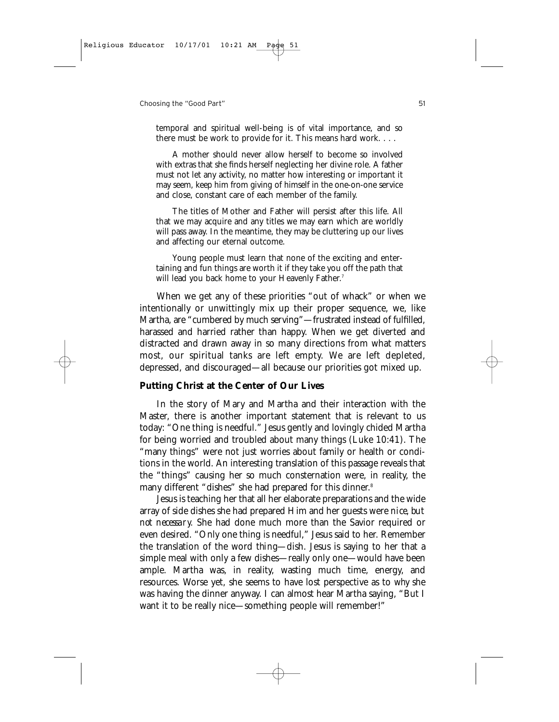temporal and spiritual well-being is of vital importance, and so there must be work to provide for it. This means hard work. . . .

A mother should never allow herself to become so involved with extras that she finds herself neglecting her divine role. A father must not let any activity, no matter how interesting or important it may seem, keep him from giving of himself in the one-on-one service and close, constant care of each member of the family.

The titles of Mother and Father will persist after this life. All that we may acquire and any titles we may earn which are worldly will pass away. In the meantime, they may be cluttering up our lives and affecting our eternal outcome.

Young people must learn that none of the exciting and entertaining and fun things are worth it if they take you off the path that will lead you back home to your Heavenly Father.<sup>7</sup>

When we get any of these priorities "out of whack" or when we intentionally or unwittingly mix up their proper sequence, we, like Martha, are "cumbered by much serving"—frustrated instead of fulfilled, harassed and harried rather than happy. When we get diverted and distracted and drawn away in so many directions from what matters most, our spiritual tanks are left empty. We are left depleted, depressed, and discouraged—all because our priorities got mixed up.

### **Putting Christ at the Center of Our Lives**

In the story of Mary and Martha and their interaction with the Master, there is another important statement that is relevant to us today: "One thing is needful." Jesus gently and lovingly chided Martha for being worried and troubled about many things (Luke 10:41). The "many things" were not just worries about family or health or conditions in the world. An interesting translation of this passage reveals that the "things" causing her so much consternation were, in reality, the many different "dishes" she had prepared for this dinner.<sup>8</sup>

Jesus is teaching her that all her elaborate preparations and the wide array of side dishes she had prepared Him and her guests were *nice, but not necessary.* She had done much more than the Savior required or even desired. "Only one thing is needful," Jesus said to her. Remember the translation of the word *thing*—dish. Jesus is saying to her that a simple meal with only a few dishes—really only one—would have been ample. Martha was, in reality, wasting much time, energy, and resources. Worse yet, she seems to have lost perspective as to *why* she was having the dinner anyway. I can almost hear Martha saying, "But I want it to be really nice—something people will remember!"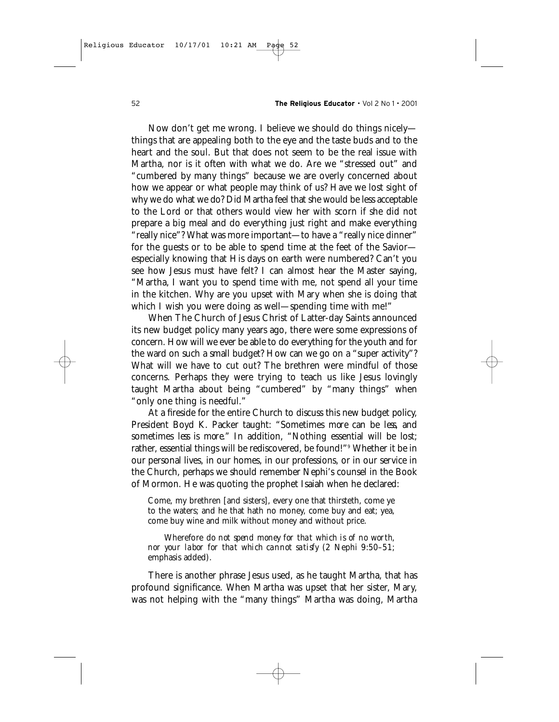Now don't get me wrong. I believe we should do things nicely things that are appealing both to the eye and the taste buds and to the heart and the soul. But that does not seem to be the real issue with Martha, nor is it often with what we do. Are we "stressed out" and "cumbered by many things" because we are overly concerned about how we appear or what people may think of us? Have we lost sight of why we do what we do? Did Martha feel that she would be less acceptable to the Lord or that others would view her with scorn if she did not prepare a big meal and do everything just right and make everything "really nice"? What was more important—to have a "really nice dinner" for the guests or to be able to spend time at the feet of the Savior especially knowing that His days on earth were numbered? Can't you see how Jesus must have felt? I can almost hear the Master saying, "Martha, I want you to spend time with me, not spend all your time in the kitchen. Why are you upset with Mary when she is doing that which I wish you were doing as well—spending time with me!"

When The Church of Jesus Christ of Latter-day Saints announced its new budget policy many years ago, there were some expressions of concern. How will we ever be able to do everything for the youth and for the ward on such a small budget? How can we go on a "super activity"? What will we have to cut out? The brethren were mindful of those concerns. Perhaps they were trying to teach us like Jesus lovingly taught Martha about being "cumbered" by "many things" when "only one thing is needful."

At a fireside for the entire Church to discuss this new budget policy, President Boyd K. Packer taught: "Sometimes *more* can be *less*, and sometimes *less* is *more."* In addition, "Nothing essential will be lost; rather, essential things will be rediscovered, be found!"<sup>9</sup> Whether it be in our personal lives, in our homes, in our professions, or in our service in the Church, perhaps we should remember Nephi's counsel in the Book of Mormon. He was quoting the prophet Isaiah when he declared:

Come, my brethren [and sisters], every one that thirsteth, come ye to the waters; and he that hath no money, come buy and eat; yea, come buy wine and milk without money and without price.

Wherefore *do not spend money for that which is of no worth, nor your labor for that which cannot satisfy* (2 Nephi 9:50–51; emphasis added).

There is another phrase Jesus used, as he taught Martha, that has profound significance. When Martha was upset that her sister, Mary, was not helping with the "many things" Martha was doing, Martha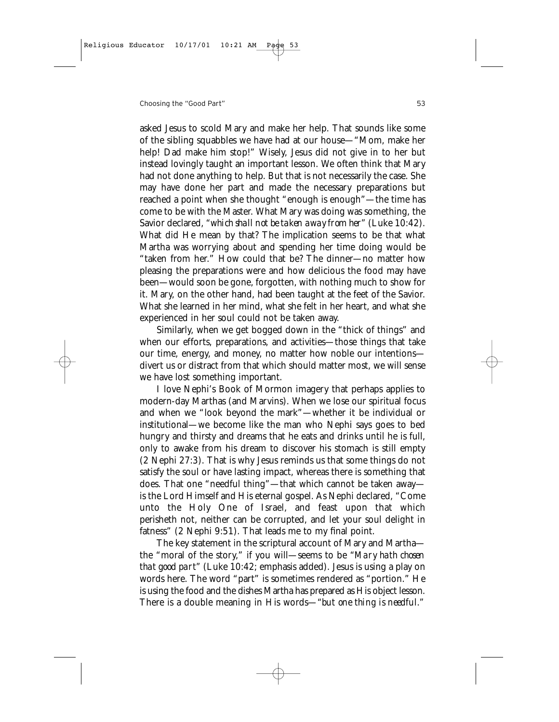asked Jesus to scold Mary and make her help. That sounds like some of the sibling squabbles we have had at our house—"Mom, make her help! Dad make him stop!" Wisely, Jesus did not give in to her but instead lovingly taught an important lesson. We often think that Mary had not done anything to help. But that is not necessarily the case. She may have done her part and made the necessary preparations but reached a point when she thought "enough is enough"—the time has come to be with the Master. What Mary was doing was something, the Savior declared, *"which shall not be taken away from her"* (Luke 10:42). What did He mean by that? The implication seems to be that what Martha was worrying about and spending her time doing would be "taken from her." How could that be? The dinner—no matter how pleasing the preparations were and how delicious the food may have been—would soon be gone, forgotten, with nothing much to show for it. Mary, on the other hand, had been taught at the feet of the Savior. What she learned in her mind, what she felt in her heart, and what she experienced in her soul could not be taken away.

Similarly, when we get bogged down in the "thick of things" and when our efforts, preparations, and activities—those things that take our time, energy, and money, no matter how noble our intentions divert us or distract from that which should matter most, we will sense we have lost something important.

I love Nephi's Book of Mormon imagery that perhaps applies to modern-day Marthas (and Marvins). When we lose our spiritual focus and when we "look beyond the mark"—whether it be individual or institutional—we become like the man who Nephi says goes to bed hungry and thirsty and dreams that he eats and drinks until he is full, only to awake from his dream to discover his stomach is still empty (2 Nephi 27:3). That is why Jesus reminds us that some things do not satisfy the soul or have lasting impact, whereas there is something that does. That one "needful thing"—that which cannot be taken away is the Lord Himself and His eternal gospel. As Nephi declared, "Come unto the Holy One of Israel, and feast upon that which perisheth not, neither can be corrupted, and let your soul delight in fatness" (2 Nephi 9:51). That leads me to my final point.

The key statement in the scriptural account of Mary and Martha the "moral of the story," if you will—seems to be *"Mary hath chosen that good part"* (Luke 10:42; emphasis added). Jesus is using a play on words here. The word "part" is sometimes rendered as "portion." He is using the food and the dishes Martha has prepared as His object lesson. There is a double meaning in His words—*"but one thing is needful."*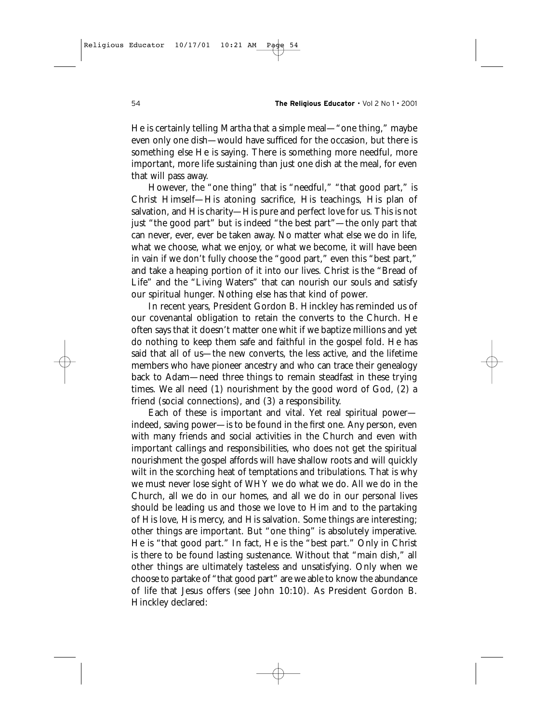He is certainly telling Martha that a simple meal—"one thing," maybe even only one dish—would have sufficed for the occasion, but there is something else He is saying. There is something more needful, more important, more life sustaining than just one dish at the meal, for even that will pass away.

However, the "one thing" that is "needful," "that good part," is Christ Himself—His atoning sacrifice, His teachings, His plan of salvation, and His charity—His pure and perfect love for us. This is not just "the good part" but is indeed "the best part"—the only part that can never, ever, ever be taken away. No matter what else we do in life, what we choose, what we enjoy, or what we become, it will have been in vain if we don't fully choose the "good part," even this "best part," and take a heaping portion of it into our lives. Christ is the "Bread of Life" and the "Living Waters" that can nourish our souls and satisfy our spiritual hunger. Nothing else has that kind of power.

In recent years, President Gordon B. Hinckley has reminded us of our covenantal obligation to retain the converts to the Church. He often says that it doesn't matter one whit if we baptize millions and yet do nothing to keep them safe and faithful in the gospel fold. He has said that all of us—the new converts, the less active, and the lifetime members who have pioneer ancestry and who can trace their genealogy back to Adam—need three things to remain steadfast in these trying times. We all need (1) nourishment by the good word of God, (2) a friend (social connections), and (3) a responsibility.

Each of these is important and vital. Yet real spiritual power indeed, saving power—is to be found in the first one. Any person, even with many friends and social activities in the Church and even with important callings and responsibilities, who does not get the spiritual nourishment the gospel affords will have shallow roots and will quickly wilt in the scorching heat of temptations and tribulations. That is why we must never lose sight of *WHY* we do what we do. All we do in the Church, all we do in our homes, and all we do in our personal lives should be leading us and those we love to Him and to the partaking of His love, His mercy, and His salvation. Some things are interesting; other things are important. But "one thing" is absolutely imperative. He is "that good part." In fact, He is the "best part." Only in Christ is there to be found lasting sustenance. Without that "main dish," all other things are ultimately tasteless and unsatisfying. Only when we choose to partake of "that good part" are we able to know the abundance of life that Jesus offers (see John 10:10). As President Gordon B. Hinckley declared: